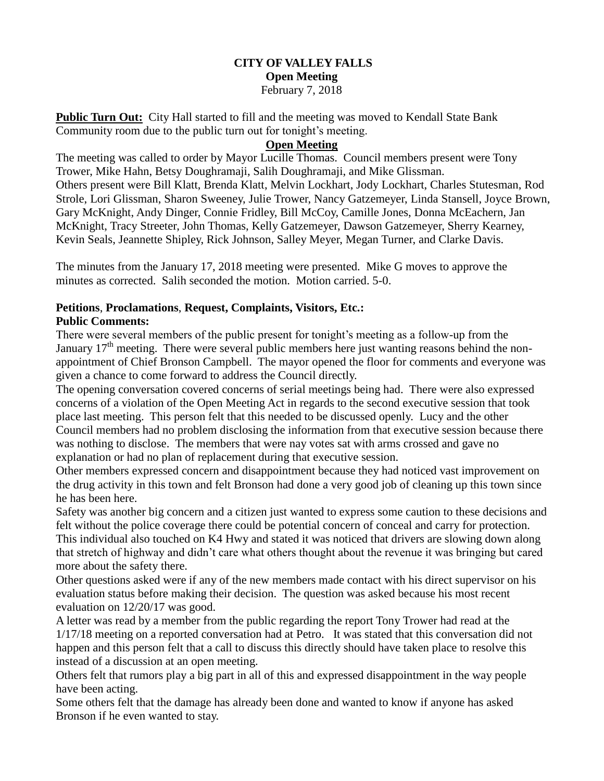### **CITY OF VALLEY FALLS Open Meeting** February 7, 2018

**Public Turn Out:** City Hall started to fill and the meeting was moved to Kendall State Bank Community room due to the public turn out for tonight's meeting.

### **Open Meeting**

The meeting was called to order by Mayor Lucille Thomas. Council members present were Tony Trower, Mike Hahn, Betsy Doughramaji, Salih Doughramaji, and Mike Glissman. Others present were Bill Klatt, Brenda Klatt, Melvin Lockhart, Jody Lockhart, Charles Stutesman, Rod Strole, Lori Glissman, Sharon Sweeney, Julie Trower, Nancy Gatzemeyer, Linda Stansell, Joyce Brown, Gary McKnight, Andy Dinger, Connie Fridley, Bill McCoy, Camille Jones, Donna McEachern, Jan McKnight, Tracy Streeter, John Thomas, Kelly Gatzemeyer, Dawson Gatzemeyer, Sherry Kearney, Kevin Seals, Jeannette Shipley, Rick Johnson, Salley Meyer, Megan Turner, and Clarke Davis.

The minutes from the January 17, 2018 meeting were presented. Mike G moves to approve the minutes as corrected. Salih seconded the motion. Motion carried. 5-0.

#### **Petitions**, **Proclamations**, **Request, Complaints, Visitors, Etc.: Public Comments:**

There were several members of the public present for tonight's meeting as a follow-up from the January  $17<sup>th</sup>$  meeting. There were several public members here just wanting reasons behind the nonappointment of Chief Bronson Campbell. The mayor opened the floor for comments and everyone was given a chance to come forward to address the Council directly.

The opening conversation covered concerns of serial meetings being had. There were also expressed concerns of a violation of the Open Meeting Act in regards to the second executive session that took place last meeting. This person felt that this needed to be discussed openly. Lucy and the other Council members had no problem disclosing the information from that executive session because there was nothing to disclose. The members that were nay votes sat with arms crossed and gave no explanation or had no plan of replacement during that executive session.

Other members expressed concern and disappointment because they had noticed vast improvement on the drug activity in this town and felt Bronson had done a very good job of cleaning up this town since he has been here.

Safety was another big concern and a citizen just wanted to express some caution to these decisions and felt without the police coverage there could be potential concern of conceal and carry for protection. This individual also touched on K4 Hwy and stated it was noticed that drivers are slowing down along that stretch of highway and didn't care what others thought about the revenue it was bringing but cared more about the safety there.

Other questions asked were if any of the new members made contact with his direct supervisor on his evaluation status before making their decision. The question was asked because his most recent evaluation on 12/20/17 was good.

A letter was read by a member from the public regarding the report Tony Trower had read at the 1/17/18 meeting on a reported conversation had at Petro. It was stated that this conversation did not happen and this person felt that a call to discuss this directly should have taken place to resolve this instead of a discussion at an open meeting.

Others felt that rumors play a big part in all of this and expressed disappointment in the way people have been acting.

Some others felt that the damage has already been done and wanted to know if anyone has asked Bronson if he even wanted to stay.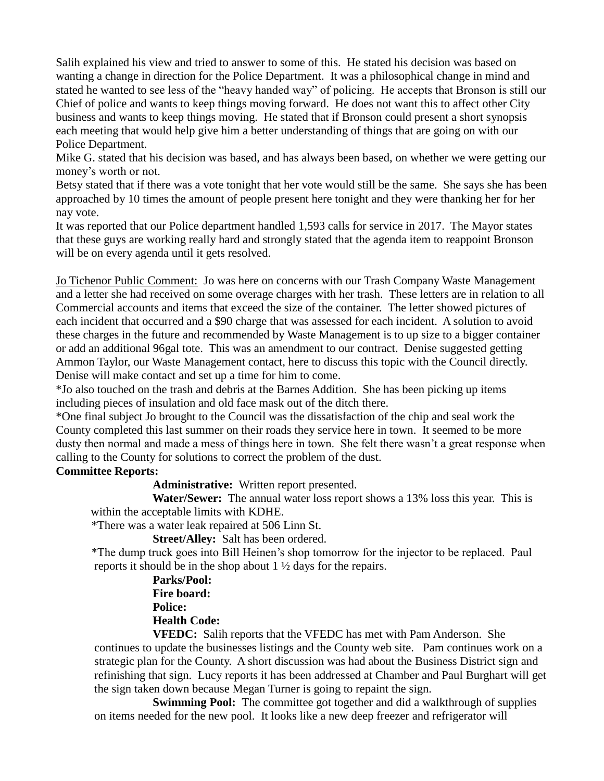Salih explained his view and tried to answer to some of this. He stated his decision was based on wanting a change in direction for the Police Department. It was a philosophical change in mind and stated he wanted to see less of the "heavy handed way" of policing. He accepts that Bronson is still our Chief of police and wants to keep things moving forward. He does not want this to affect other City business and wants to keep things moving. He stated that if Bronson could present a short synopsis each meeting that would help give him a better understanding of things that are going on with our Police Department.

Mike G. stated that his decision was based, and has always been based, on whether we were getting our money's worth or not.

Betsy stated that if there was a vote tonight that her vote would still be the same. She says she has been approached by 10 times the amount of people present here tonight and they were thanking her for her nay vote.

It was reported that our Police department handled 1,593 calls for service in 2017. The Mayor states that these guys are working really hard and strongly stated that the agenda item to reappoint Bronson will be on every agenda until it gets resolved.

Jo Tichenor Public Comment: Jo was here on concerns with our Trash Company Waste Management and a letter she had received on some overage charges with her trash. These letters are in relation to all Commercial accounts and items that exceed the size of the container. The letter showed pictures of each incident that occurred and a \$90 charge that was assessed for each incident. A solution to avoid these charges in the future and recommended by Waste Management is to up size to a bigger container or add an additional 96gal tote. This was an amendment to our contract. Denise suggested getting Ammon Taylor, our Waste Management contact, here to discuss this topic with the Council directly. Denise will make contact and set up a time for him to come.

\*Jo also touched on the trash and debris at the Barnes Addition. She has been picking up items including pieces of insulation and old face mask out of the ditch there.

\*One final subject Jo brought to the Council was the dissatisfaction of the chip and seal work the County completed this last summer on their roads they service here in town. It seemed to be more dusty then normal and made a mess of things here in town. She felt there wasn't a great response when calling to the County for solutions to correct the problem of the dust.

#### **Committee Reports:**

**Administrative:** Written report presented.

 **Water/Sewer:** The annual water loss report shows a 13% loss this year. This is within the acceptable limits with KDHE.

\*There was a water leak repaired at 506 Linn St.

**Street/Alley:** Salt has been ordered.

 \*The dump truck goes into Bill Heinen's shop tomorrow for the injector to be replaced. Paul reports it should be in the shop about 1 ½ days for the repairs.

## **Parks/Pool: Fire board: Police: Health Code:**

**VFEDC:** Salih reports that the VFEDC has met with Pam Anderson. She continues to update the businesses listings and the County web site. Pam continues work on a strategic plan for the County. A short discussion was had about the Business District sign and refinishing that sign. Lucy reports it has been addressed at Chamber and Paul Burghart will get the sign taken down because Megan Turner is going to repaint the sign.

**Swimming Pool:** The committee got together and did a walkthrough of supplies on items needed for the new pool. It looks like a new deep freezer and refrigerator will